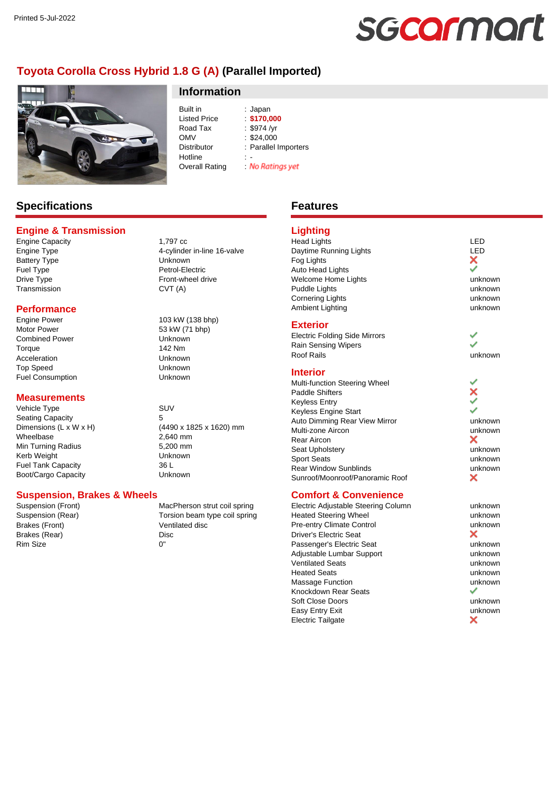## sgcarmart

#### **Toyota Corolla Cross Hybrid 1.8 G (A) (Parallel Imported)**



#### **Information**

Built in : Japan<br>Listed Price : \$170,000 Listed Price Road Tax : \$974 /yr<br>OMV : \$24.000  $\frac{1}{2}$ \$24,000 Distributor : Parallel Importers Hotline<br>Overall Rating **No Ratings yet** Overall Rating :

#### **Specifications**

#### **Engine & Transmission**

Engine Capacity<br>
Engine Type<br>
4-cylinde Battery Type **Unknown** Fuel Type Petrol-Electric Transmission CVT (A)

#### **Performance**

Engine Power 103 kW (138 bhp) Motor Power 53 kW (71 bhp) Combined Power **Unknown** Torque 142 Nm Acceleration **National Contract Contract Contract Contract Contract Contract Contract Contract Contract Contract Contract Contract Contract Contract Contract Contract Contract Contract Contract Contract Contract Contract C** Top Speed Unknown Fuel Consumption **Unknown** 

#### **Measurements**

Vehicle Type SUV Dimensions  $(L \times W \times H)$ Wheelbase 2,640 mm<br>
Min Turning Radius 2,5200 mm Min Turning Radius 6,200 mm<br>
Kerb Weight 6 Mercent Control 10 Mercent Control Kerb Weight Fuel Tank Capacity **36 L** Boot/Cargo Capacity **Unknown** 

#### **Suspension, Brakes & Wheels**

Brakes (Front) Ventilated disc Brakes (Rear) Disc Rim Size 0"

4-cylinder in-line 16-valve Drive Type **Front-wheel drive** 

Seating Capacity<br>
Dimensions (L x W x H) (4490 x 1825 x 1620) mm

#### **Features**

#### **Lighting**

Head Lights LED<br>Daytime Running Lights Lexuber 2011 Daytime Running Lights Fog Lights Auto Head Lights Welcome Home Lights **unknown** Puddle Lights **unknown** Cornering Lights **unknown** Ambient Lighting unknown

#### **Exterior**

Electric Folding Side Mirrors Rain Sensing Wipers Roof Rails **No. 2018 unknown** 

#### **Interior**

Multi-function Steering Wheel Paddle Shifters Keyless Entry Keyless Engine Start Auto Dimming Rear View Mirror **East Contact State Contact Auto** unknown Multi-zone Aircon unknown Rear Aircon Seat Upholstery **unknown** Sport Seats unknown Rear Window Sunblinds<br>
Sunroof/Moonroof/Panoramic Roof<br>
X Sunroof/Moonroof/Panoramic Roof

#### **Comfort & Convenience**

Electric Adjustable Steering Column by the unknown Heated Steering Wheel **East Controllering** Wheel Pre-entry Climate Control **Example 2** unknown Driver's Electric Seat Passenger's Electric Seat values of the unknown Adjustable Lumbar Support and the unknown Ventilated Seats unknown Heated Seats unknown Massage Function and the control of the control of the unknown Knockdown Rear Seats Soft Close Doors **unknown** Easy Entry Exit the control of the control of the control of the control of the control of the control of the control of the control of the control of the control of the control of the control of the control of the control Electric Tailgate

× U

V

### $\dot{\mathbf{x}}$ ر

×

×

# Suspension (Front) MacPherson strut coil spring

Suspension (Rear) Torsion beam type coil spring